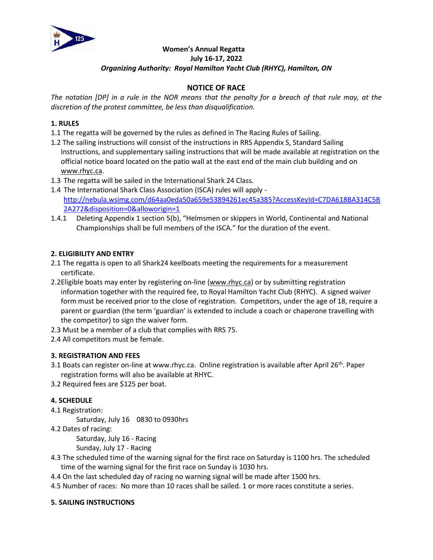

### **Women's Annual Regatta July 16-17, 2022** *Organizing Authority: Royal Hamilton Yacht Club (RHYC), Hamilton, ON*

# **NOTICE OF RACE**

*The notation [DP] in a rule in the NOR means that the penalty for a breach of that rule may, at the discretion of the protest committee, be less than disqualification.* 

### **1. RULES**

- 1.1 The regatta will be governed by the rules as defined in The Racing Rules of Sailing.
- 1.2 The sailing instructions will consist of the instructions in RRS Appendix S, Standard Sailing Instructions, and supplementary sailing instructions that will be made available at registration on the official notice board located on the patio wall at the east end of the main club building and on [www.rhyc.ca.](http://www.rhyc.ca/)
- 1.3 The regatta will be sailed in the International Shark 24 Class.
- 1.4 The International Shark Class Association (ISCA) rules will apply [http://nebula.wsimg.com/d64aa0eda50a659e53894261ec45a385?AccessKeyId=C7DA618BA314C5B](http://nebula.wsimg.com/d64aa0eda50a659e53894261ec45a385?AccessKeyId=C7DA618BA314C5B2A272&disposition=0&alloworigin=1) [2A272&disposition=0&alloworigin=1](http://nebula.wsimg.com/d64aa0eda50a659e53894261ec45a385?AccessKeyId=C7DA618BA314C5B2A272&disposition=0&alloworigin=1)
- 1.4.1 Deleting Appendix 1 section 5(b), "Helmsmen or skippers in World, Continental and National Championships shall be full members of the ISCA." for the duration of the event.

### **2. ELIGIBILITY AND ENTRY**

- 2.1 The regatta is open to all Shark24 keelboats meeting the requirements for a measurement certificate.
- 2.2Eligible boats may enter by registering on-line [\(www.rhyc.ca\)](http://www.rhyc.ca/) or by submitting registration information together with the required fee, to Royal Hamilton Yacht Club (RHYC). A signed waiver form must be received prior to the close of registration. Competitors, under the age of 18, require a parent or guardian (the term 'guardian' is extended to include a coach or chaperone travelling with the competitor) to sign the waiver form.
- 2.3 Must be a member of a club that complies with RRS 75.
- 2.4 All competitors must be female.

# **3. REGISTRATION AND FEES**

- 3.1 Boats can register on-line at www.rhyc.ca. Online registration is available after April 26<sup>th</sup>. Paper registration forms will also be available at RHYC.
- 3.2 Required fees are \$125 per boat.

# **4. SCHEDULE**

### 4.1 Registration:

Saturday, July 16 0830 to 0930hrs

4.2 Dates of racing:

Saturday, July 16 - Racing

Sunday, July 17 - Racing

- 4.3 The scheduled time of the warning signal for the first race on Saturday is 1100 hrs. The scheduled time of the warning signal for the first race on Sunday is 1030 hrs.
- 4.4 On the last scheduled day of racing no warning signal will be made after 1500 hrs.
- 4.5 Number of races: No more than 10 races shall be sailed. 1 or more races constitute a series.

### **5. SAILING INSTRUCTIONS**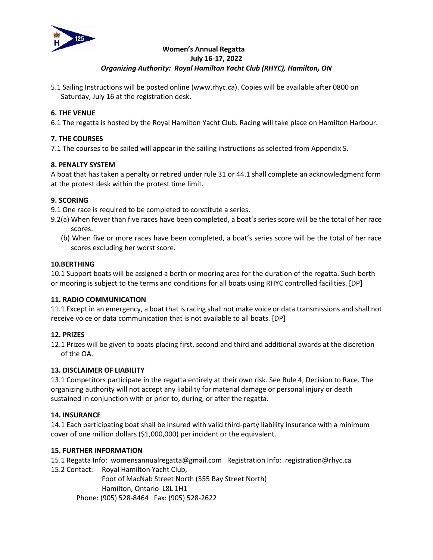

### **Women's Annual Regatta July 16-17, 2022** *Organizing Authority: Royal Hamilton Yacht Club (RHYC), Hamilton, ON*

5.1 Sailing Instructions will be posted online [\(www.rhyc.ca\)](http://www.rhyc.ca/). Copies will be available after 0800 on Saturday, July 16 at the registration desk.

# **6. THE VENUE**

6.1 The regatta is hosted by the Royal Hamilton Yacht Club. Racing will take place on Hamilton Harbour.

### **7. THE COURSES**

7.1 The courses to be sailed will appear in the sailing instructions as selected from Appendix S.

### **8. PENALTY SYSTEM**

A boat that has taken a penalty or retired under rule 31 or 44.1 shall complete an acknowledgment form at the protest desk within the protest time limit.

### **9. SCORING**

9.1 One race is required to be completed to constitute a series.

- 9.2(a) When fewer than five races have been completed, a boat's series score will be the total of her race scores.
	- (b) When five or more races have been completed, a boat's series score will be the total of her race scores excluding her worst score.

### **10.BERTHING**

10.1 Support boats will be assigned a berth or mooring area for the duration of the regatta. Such berth or mooring is subject to the terms and conditions for all boats using RHYC controlled facilities. [DP]

### **11. RADIO COMMUNICATION**

11.1 Except in an emergency, a boat that is racing shall not make voice or data transmissions and shall not receive voice or data communication that is not available to all boats. [DP]

### **12. PRIZES**

12.1 Prizes will be given to boats placing first, second and third and additional awards at the discretion of the OA.

### **13. DISCLAIMER OF LIABILITY**

13.1 Competitors participate in the regatta entirely at their own risk. See Rule 4, Decision to Race. The organizing authority will not accept any liability for material damage or personal injury or death sustained in conjunction with or prior to, during, or after the regatta.

### **14. INSURANCE**

14.1 Each participating boat shall be insured with valid third-party liability insurance with a minimum cover of one million dollars (\$1,000,000) per incident or the equivalent.

### **15. FURTHER INFORMATION**

15.1 Regatta Info: womensannualregatta@gmail.com Registration Info: [registration@rhyc.ca](mailto:registration@rhyc.ca)

15.2 Contact: Royal Hamilton Yacht Club,

Foot of MacNab Street North (555 Bay Street North) Hamilton, Ontario L8L 1H1 Phone: (905) 528-8464 Fax: (905) 528-2622